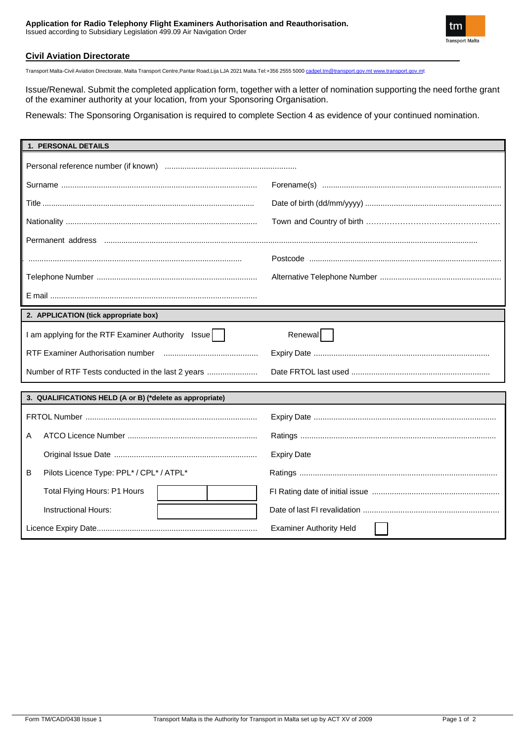

### **Civil Aviation Directorate**

Transport Malta-Civil Aviation Directorate, Malta Transport Centre,Pantar Road,Lija LJA 2021 Malta.Tel:+356 2555 5000 [cadpel.tm@transport.gov.mt](mailto:cadpel.tm@transport.gov.mt) [www.transport.gov.mt](http://www.transport.gov.mt/)

Issue/Renewal. Submit the completed application form, together with a letter of nomination supporting the need forthe grant of the examiner authority at your location, from your Sponsoring Organisation.

Renewals: The Sponsoring Organisation is required to complete Section 4 as evidence of your continued nomination.

| 1. PERSONAL DETAILS                                      |                                |
|----------------------------------------------------------|--------------------------------|
|                                                          |                                |
|                                                          |                                |
|                                                          |                                |
|                                                          |                                |
|                                                          |                                |
|                                                          |                                |
|                                                          |                                |
|                                                          |                                |
| 2. APPLICATION (tick appropriate box)                    |                                |
| I am applying for the RTF Examiner Authority Issue       | Renewal                        |
|                                                          |                                |
| Number of RTF Tests conducted in the last 2 years        |                                |
|                                                          |                                |
| 3. QUALIFICATIONS HELD (A or B) (*delete as appropriate) |                                |
|                                                          |                                |
| A                                                        |                                |
|                                                          | <b>Expiry Date</b>             |
| Pilots Licence Type: PPL* / CPL* / ATPL*<br>B            |                                |
| Total Flying Hours: P1 Hours                             |                                |
| Instructional Hours:                                     |                                |
|                                                          | <b>Examiner Authority Held</b> |